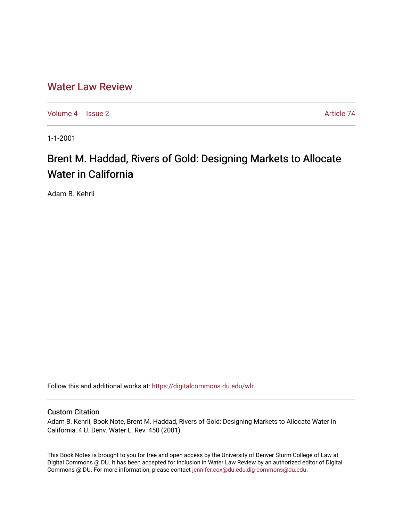## [Water Law Review](https://digitalcommons.du.edu/wlr)

[Volume 4](https://digitalcommons.du.edu/wlr/vol4) | [Issue 2](https://digitalcommons.du.edu/wlr/vol4/iss2) Article 74

1-1-2001

# Brent M. Haddad, Rivers of Gold: Designing Markets to Allocate Water in California

Adam B. Kehrli

Follow this and additional works at: [https://digitalcommons.du.edu/wlr](https://digitalcommons.du.edu/wlr?utm_source=digitalcommons.du.edu%2Fwlr%2Fvol4%2Fiss2%2F74&utm_medium=PDF&utm_campaign=PDFCoverPages) 

#### Custom Citation

Adam B. Kehrli, Book Note, Brent M. Haddad, Rivers of Gold: Designing Markets to Allocate Water in California, 4 U. Denv. Water L. Rev. 450 (2001).

This Book Notes is brought to you for free and open access by the University of Denver Sturm College of Law at Digital Commons @ DU. It has been accepted for inclusion in Water Law Review by an authorized editor of Digital Commons @ DU. For more information, please contact [jennifer.cox@du.edu,dig-commons@du.edu.](mailto:jennifer.cox@du.edu,dig-commons@du.edu)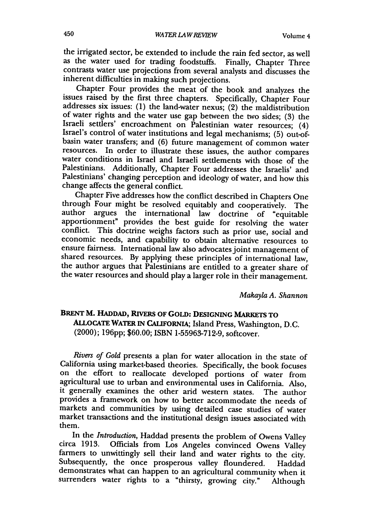the irrigated sector, be extended to include the rain fed sector, as well as the water used for trading foodstuffs. Finally, Chapter Three contrasts water use projections from several analysts and discusses the inherent difficulties in making such projections.

Chapter Four provides the meat of the book and analyzes the issues raised by the first three chapters. Specifically, Chapter Four addresses six issues: (1) the land-water nexus; (2) the maldistribution of water rights and the water use gap between the two sides; (3) the Israel's control of water institutions and legal mechanisms; (5) out-ofbasin water transfers; and (6) future management of common water resources. In order to illustrate these issues, the author compares water conditions in Israel and Israeli settlements with those of the Palestinians. Additionally, Chapter Four addresses the Israelis' and Palestinians' changing perception and ideology of water, and how this change affects the general conflict.

Chapter Five addresses how the conflict described in Chapters One through Four might be resolved equitably and cooperatively. The author argues the international law doctrine of "equitable apportionment" provides the best guide for resolving the water conflict. This doctrine weighs factors such as prior use, social and economic needs, and capability to obtain alternative resources to ensure fairness. International law also advocates joint management of shared resources. By applying these principles of international law, the author argues that Palestinians are entitled to a greater share of the water resources and should play a larger role in their management.

*Makayla A. Shannon*

### **BRENT** M. **HADDAD, RIVERS OF** GOLD: **DESIGNING MARKETS TO** ALLOCATE **WATER** IN CALIFORNIA; Island Press, Washington, D.C. (2000); 19 6pp; \$60.00; ISBN 1-55963-712-9, softcover.

*Rivers of Gold* presents a plan for water allocation in the state of California using market-based theories. Specifically, the book focuses on the effort to reallocate developed portions of water from agricultural use to urban and environmental uses in California. Also, it generally examines the other arid western states. The author provides a framework on how to better accommodate the needs of markets and communities by using detailed case studies of water market transactions and the institutional design issues associated with them.

In the *Introduction*, Haddad presents the problem of Owens Valley<br>circa 1913. Officials from Los Angeles convinced Owens Valley<br>farmers to unwittingly sell their land and water rights to the city.<br>Subsequently, the once p demonstrates what can happen to an agricultural community when it surrenders water rights to a "thirsty, growing city." Although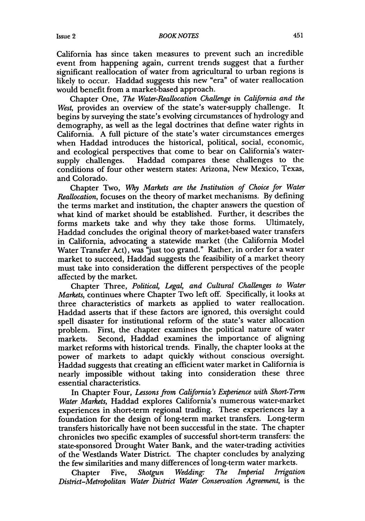#### *BOOK NOTES*

California has since taken measures to prevent such an incredible event from happening again, current trends suggest that a further significant reallocation of water from agricultural to urban regions is likely to occur. Haddad suggests this new "era" of water reallocation would benefit from a market-based approach.

Chapter One, *The Water-Reallocation Challenge in California and the West,* provides an overview of the state's water-supply challenge. It begins by surveying the state's evolving circumstances of hydrology and demography, as well as the legal doctrines that define water rights in California. A full picture of the state's water circumstances emerges when Haddad introduces the historical, political, social, economic, and ecological perspectives that come to bear on California's watersupply challenges. Haddad compares these challenges to the conditions of four other western states: Arizona, New Mexico, Texas, and Colorado.

Chapter Two, *Why Markets are the Institution of Choice for Water Reallocation,* focuses on the theory of market mechanisms. By defining the terms market and institution, the chapter answers the question of what kind of market should be established. Further, it describes the forms markets take and why they take those forms. Ultimately, forms markets take and why they take those forms. Haddad concludes the original theory of market-based water transfers in California, advocating a statewide market (the California Model Water Transfer Act), was "just too grand." Rather, in order for a water market to succeed, Haddad suggests the feasibility of a market theory must take into consideration the different perspectives of the people affected by the market.

Chapter Three, *Political, Legal, and Cultural Challenges to Water Markets,* continues where Chapter Two left off. Specifically, it looks at three characteristics of markets as applied to water reallocation. Haddad asserts that if these factors are ignored, this oversight could spell disaster for institutional reform of the state's water allocation problem. First, the chapter examines the political nature of water markets. Second, Haddad examines the importance of aligning market reforms with historical trends. Finally, the chapter looks at the power of markets to adapt quickly without conscious oversight. Haddad suggests that creating an efficient water market in California is nearly impossible without taking into consideration these three essential characteristics.

In Chapter Four, *Lessons from California's Experience with Short-Term Water Markets,* Haddad explores California's numerous water-market experiences in short-term regional trading. These experiences lay a foundation for the design of long-term market transfers. Long-term transfers historically have not been successful in the state. The chapter chronicles two specific examples of successful short-term transfers: the state-sponsored Drought Water Bank, and the water-trading activities of the Westlands Water District. The chapter concludes by analyzing the few similarities and many differences of long-term water markets.

Chapter Five, *Shotgun Wedding: The Imperial Irrigation District-Metropolitan Water District Water Conservation Agreement,* is the